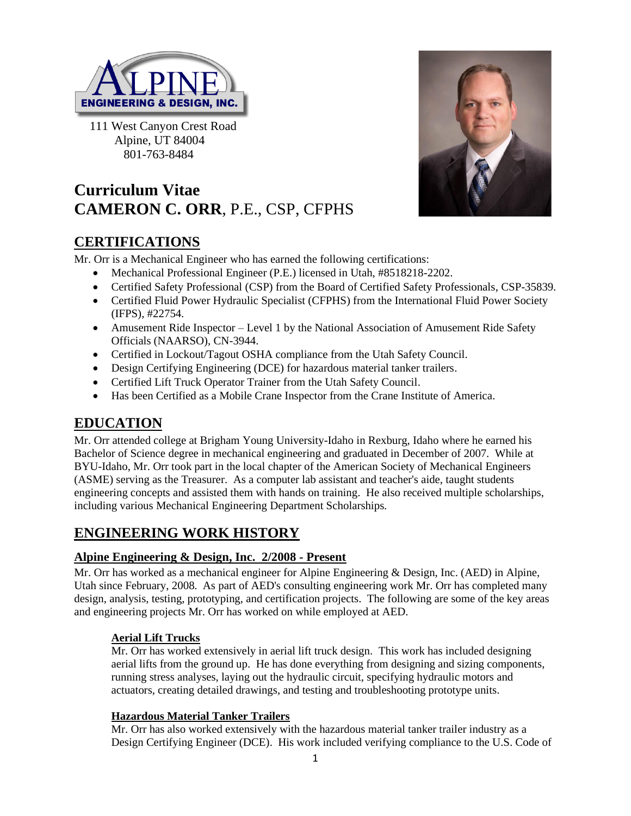

 111 West Canyon Crest Road Alpine, UT 84004 801-763-8484

# **Curriculum Vitae CAMERON C. ORR**, P.E., CSP, CFPHS



## **CERTIFICATIONS**

Mr. Orr is a Mechanical Engineer who has earned the following certifications:

- Mechanical Professional Engineer (P.E.) licensed in Utah, #8518218-2202.
- Certified Safety Professional (CSP) from the Board of Certified Safety Professionals, CSP-35839.
- Certified Fluid Power Hydraulic Specialist (CFPHS) from the International Fluid Power Society (IFPS), #22754.
- Amusement Ride Inspector Level 1 by the National Association of Amusement Ride Safety Officials (NAARSO), CN-3944.
- Certified in Lockout/Tagout OSHA compliance from the Utah Safety Council.
- Design Certifying Engineering (DCE) for hazardous material tanker trailers.
- Certified Lift Truck Operator Trainer from the Utah Safety Council.
- Has been Certified as a Mobile Crane Inspector from the Crane Institute of America.

## **EDUCATION**

Mr. Orr attended college at Brigham Young University-Idaho in Rexburg, Idaho where he earned his Bachelor of Science degree in mechanical engineering and graduated in December of 2007. While at BYU-Idaho, Mr. Orr took part in the local chapter of the American Society of Mechanical Engineers (ASME) serving as the Treasurer. As a computer lab assistant and teacher's aide, taught students engineering concepts and assisted them with hands on training. He also received multiple scholarships, including various Mechanical Engineering Department Scholarships.

## **ENGINEERING WORK HISTORY**

#### **Alpine Engineering & Design, Inc. 2/2008 - Present**

Mr. Orr has worked as a mechanical engineer for Alpine Engineering & Design, Inc. (AED) in Alpine, Utah since February, 2008. As part of AED's consulting engineering work Mr. Orr has completed many design, analysis, testing, prototyping, and certification projects. The following are some of the key areas and engineering projects Mr. Orr has worked on while employed at AED.

#### **Aerial Lift Trucks**

Mr. Orr has worked extensively in aerial lift truck design. This work has included designing aerial lifts from the ground up. He has done everything from designing and sizing components, running stress analyses, laying out the hydraulic circuit, specifying hydraulic motors and actuators, creating detailed drawings, and testing and troubleshooting prototype units.

#### **Hazardous Material Tanker Trailers**

Mr. Orr has also worked extensively with the hazardous material tanker trailer industry as a Design Certifying Engineer (DCE). His work included verifying compliance to the U.S. Code of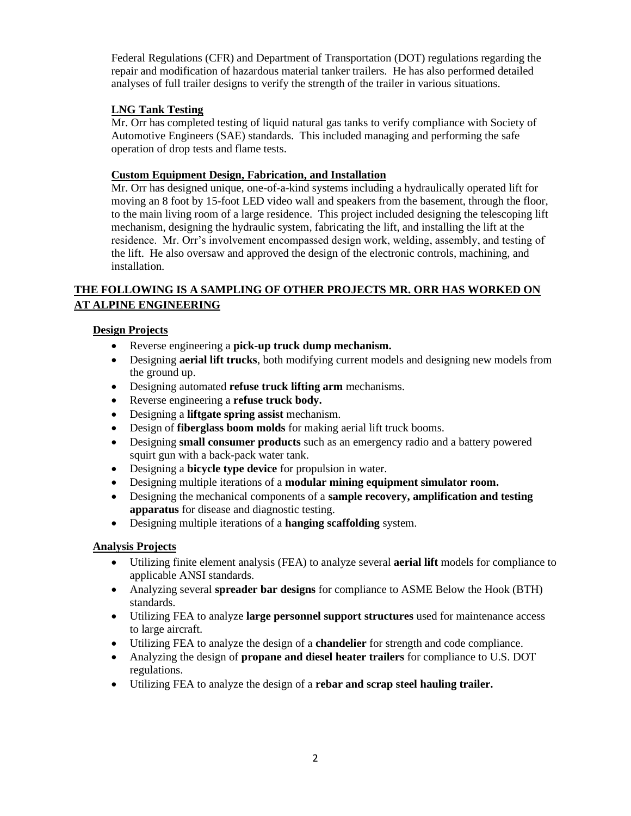Federal Regulations (CFR) and Department of Transportation (DOT) regulations regarding the repair and modification of hazardous material tanker trailers. He has also performed detailed analyses of full trailer designs to verify the strength of the trailer in various situations.

#### **LNG Tank Testing**

Mr. Orr has completed testing of liquid natural gas tanks to verify compliance with Society of Automotive Engineers (SAE) standards. This included managing and performing the safe operation of drop tests and flame tests.

#### **Custom Equipment Design, Fabrication, and Installation**

Mr. Orr has designed unique, one-of-a-kind systems including a hydraulically operated lift for moving an 8 foot by 15-foot LED video wall and speakers from the basement, through the floor, to the main living room of a large residence. This project included designing the telescoping lift mechanism, designing the hydraulic system, fabricating the lift, and installing the lift at the residence. Mr. Orr's involvement encompassed design work, welding, assembly, and testing of the lift. He also oversaw and approved the design of the electronic controls, machining, and installation.

#### **THE FOLLOWING IS A SAMPLING OF OTHER PROJECTS MR. ORR HAS WORKED ON AT ALPINE ENGINEERING**

#### **Design Projects**

- Reverse engineering a **pick-up truck dump mechanism.**
- Designing **aerial lift trucks**, both modifying current models and designing new models from the ground up.
- Designing automated **refuse truck lifting arm** mechanisms.
- Reverse engineering a **refuse truck body.**
- Designing a **liftgate spring assist** mechanism.
- Design of **fiberglass boom molds** for making aerial lift truck booms.
- Designing **small consumer products** such as an emergency radio and a battery powered squirt gun with a back-pack water tank.
- Designing a **bicycle type device** for propulsion in water.
- Designing multiple iterations of a **modular mining equipment simulator room.**
- Designing the mechanical components of a **sample recovery, amplification and testing apparatus** for disease and diagnostic testing.
- Designing multiple iterations of a **hanging scaffolding** system.

#### **Analysis Projects**

- Utilizing finite element analysis (FEA) to analyze several **aerial lift** models for compliance to applicable ANSI standards.
- Analyzing several **spreader bar designs** for compliance to ASME Below the Hook (BTH) standards.
- Utilizing FEA to analyze **large personnel support structures** used for maintenance access to large aircraft.
- Utilizing FEA to analyze the design of a **chandelier** for strength and code compliance.
- Analyzing the design of **propane and diesel heater trailers** for compliance to U.S. DOT regulations.
- Utilizing FEA to analyze the design of a **rebar and scrap steel hauling trailer.**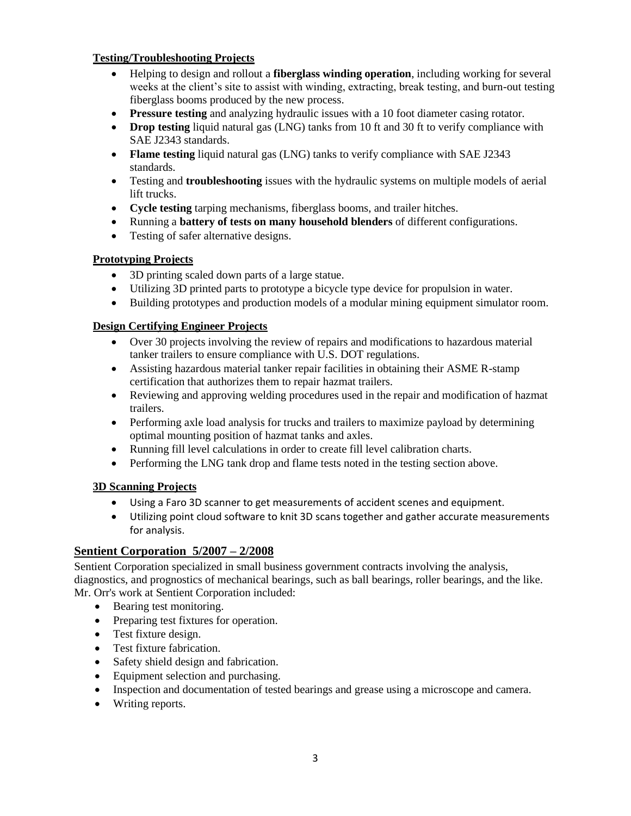#### **Testing/Troubleshooting Projects**

- Helping to design and rollout a **fiberglass winding operation**, including working for several weeks at the client's site to assist with winding, extracting, break testing, and burn-out testing fiberglass booms produced by the new process.
- **Pressure testing** and analyzing hydraulic issues with a 10 foot diameter casing rotator.
- **Drop testing** liquid natural gas (LNG) tanks from 10 ft and 30 ft to verify compliance with SAE J2343 standards.
- **Flame testing** liquid natural gas (LNG) tanks to verify compliance with SAE J2343 standards.
- Testing and **troubleshooting** issues with the hydraulic systems on multiple models of aerial lift trucks.
- **Cycle testing** tarping mechanisms, fiberglass booms, and trailer hitches.
- Running a **battery of tests on many household blenders** of different configurations.
- Testing of safer alternative designs.

#### **Prototyping Projects**

- 3D printing scaled down parts of a large statue.
- Utilizing 3D printed parts to prototype a bicycle type device for propulsion in water.
- Building prototypes and production models of a modular mining equipment simulator room.

#### **Design Certifying Engineer Projects**

- Over 30 projects involving the review of repairs and modifications to hazardous material tanker trailers to ensure compliance with U.S. DOT regulations.
- Assisting hazardous material tanker repair facilities in obtaining their ASME R-stamp certification that authorizes them to repair hazmat trailers.
- Reviewing and approving welding procedures used in the repair and modification of hazmat trailers.
- Performing axle load analysis for trucks and trailers to maximize payload by determining optimal mounting position of hazmat tanks and axles.
- Running fill level calculations in order to create fill level calibration charts.
- Performing the LNG tank drop and flame tests noted in the testing section above.

#### **3D Scanning Projects**

- Using a Faro 3D scanner to get measurements of accident scenes and equipment.
- Utilizing point cloud software to knit 3D scans together and gather accurate measurements for analysis.

#### **Sentient Corporation 5/2007 – 2/2008**

Sentient Corporation specialized in small business government contracts involving the analysis, diagnostics, and prognostics of mechanical bearings, such as ball bearings, roller bearings, and the like. Mr. Orr's work at Sentient Corporation included:

- Bearing test monitoring.
- Preparing test fixtures for operation.
- Test fixture design.
- Test fixture fabrication.
- Safety shield design and fabrication.
- Equipment selection and purchasing.
- Inspection and documentation of tested bearings and grease using a microscope and camera.
- Writing reports.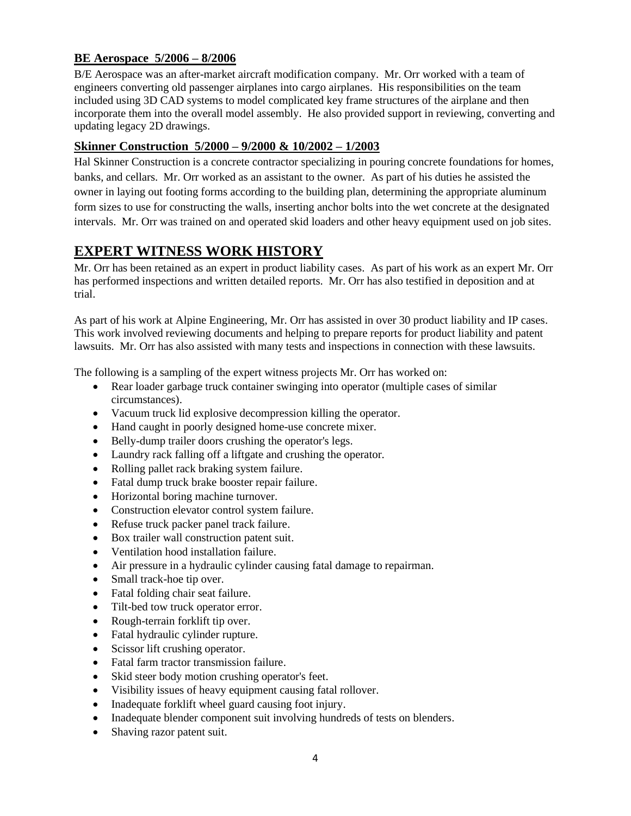#### **BE Aerospace 5/2006 – 8/2006**

B/E Aerospace was an after-market aircraft modification company. Mr. Orr worked with a team of engineers converting old passenger airplanes into cargo airplanes. His responsibilities on the team included using 3D CAD systems to model complicated key frame structures of the airplane and then incorporate them into the overall model assembly. He also provided support in reviewing, converting and updating legacy 2D drawings.

#### **Skinner Construction 5/2000 – 9/2000 & 10/2002 – 1/2003**

Hal Skinner Construction is a concrete contractor specializing in pouring concrete foundations for homes, banks, and cellars. Mr. Orr worked as an assistant to the owner. As part of his duties he assisted the owner in laying out footing forms according to the building plan, determining the appropriate aluminum form sizes to use for constructing the walls, inserting anchor bolts into the wet concrete at the designated intervals. Mr. Orr was trained on and operated skid loaders and other heavy equipment used on job sites.

## **EXPERT WITNESS WORK HISTORY**

Mr. Orr has been retained as an expert in product liability cases. As part of his work as an expert Mr. Orr has performed inspections and written detailed reports. Mr. Orr has also testified in deposition and at trial.

As part of his work at Alpine Engineering, Mr. Orr has assisted in over 30 product liability and IP cases. This work involved reviewing documents and helping to prepare reports for product liability and patent lawsuits. Mr. Orr has also assisted with many tests and inspections in connection with these lawsuits.

The following is a sampling of the expert witness projects Mr. Orr has worked on:

- Rear loader garbage truck container swinging into operator (multiple cases of similar circumstances).
- Vacuum truck lid explosive decompression killing the operator.
- Hand caught in poorly designed home-use concrete mixer.
- Belly-dump trailer doors crushing the operator's legs.
- Laundry rack falling off a liftgate and crushing the operator.
- Rolling pallet rack braking system failure.
- Fatal dump truck brake booster repair failure.
- Horizontal boring machine turnover.
- Construction elevator control system failure.
- Refuse truck packer panel track failure.
- Box trailer wall construction patent suit.
- Ventilation hood installation failure.
- Air pressure in a hydraulic cylinder causing fatal damage to repairman.
- Small track-hoe tip over.
- Fatal folding chair seat failure.
- Tilt-bed tow truck operator error.
- Rough-terrain forklift tip over.
- Fatal hydraulic cylinder rupture.
- Scissor lift crushing operator.
- Fatal farm tractor transmission failure.
- Skid steer body motion crushing operator's feet.
- Visibility issues of heavy equipment causing fatal rollover.
- Inadequate forklift wheel guard causing foot injury.
- Inadequate blender component suit involving hundreds of tests on blenders.
- Shaving razor patent suit.